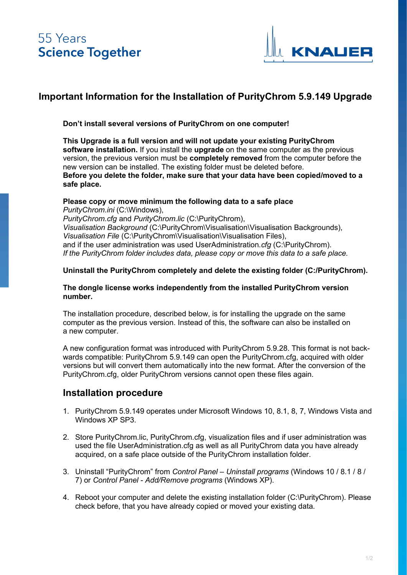

## **Important Information for the Installation of PurityChrom 5.9.149 Upgrade**

**Don't install several versions of PurityChrom on one computer!**

**This Upgrade is a full version and will not update your existing PurityChrom software installation.** If you install the **upgrade** on the same computer as the previous version, the previous version must be **completely removed** from the computer before the new version can be installed. The existing folder must be deleted before. **Before you delete the folder, make sure that your data have been copied/moved to a safe place.**

#### **Please copy or move minimum the following data to a safe place**

*PurityChrom.ini* (C:\Windows), *PurityChrom.cfg* and *PurityChrom.lic* (C:\PurityChrom), *Visualisation Background* (C:\PurityChrom\Visualisation\Visualisation Backgrounds), *Visualisation File* (C:\PurityChrom\Visualisation\Visualisation Files), and if the user administration was used UserAdministration*.cfg* (C:\PurityChrom). *If the PurityChrom folder includes data, please copy or move this data to a safe place.*

#### **Uninstall the PurityChrom completely and delete the existing folder (C:/PurityChrom).**

#### **The dongle license works independently from the installed PurityChrom version number.**

The installation procedure, described below, is for installing the upgrade on the same computer as the previous version. Instead of this, the software can also be installed on a new computer.

A new configuration format was introduced with PurityChrom 5.9.28. This format is not backwards compatible: PurityChrom 5.9.149 can open the PurityChrom.cfg, acquired with older versions but will convert them automatically into the new format. After the conversion of the PurityChrom.cfg, older PurityChrom versions cannot open these files again.

### **Installation procedure**

- 1. PurityChrom 5.9.149 operates under Microsoft Windows 10, 8.1, 8, 7, Windows Vista and Windows XP SP3.
- 2. Store PurityChrom.lic, PurityChrom.cfg, visualization files and if user administration was used the file UserAdministration.cfg as well as all PurityChrom data you have already acquired, on a safe place outside of the PurityChrom installation folder.
- 3. Uninstall "PurityChrom" from *Control Panel – Uninstall programs* (Windows 10 / 8.1 / 8 / 7) or *Control Panel - Add/Remove programs* (Windows XP).
- 4. Reboot your computer and delete the existing installation folder (C:\PurityChrom). Please check before, that you have already copied or moved your existing data.